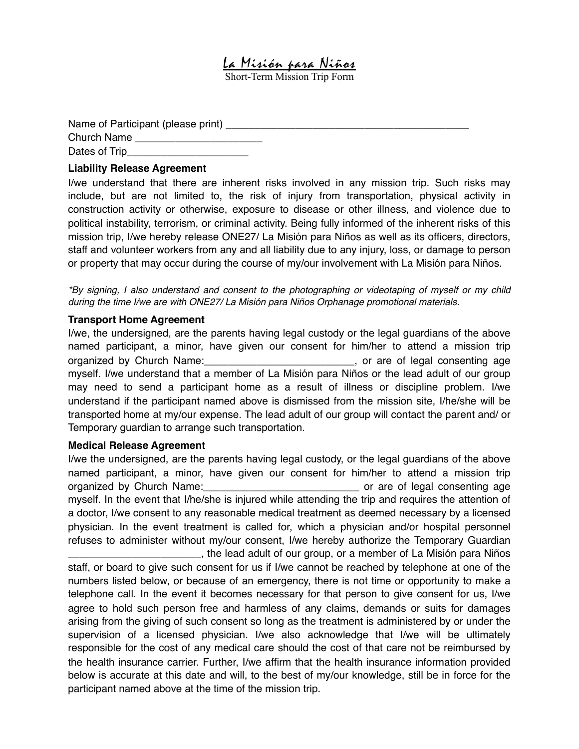La Misión para Niños

Short-Term Mission Trip Form

| Name of Participant (please print) |  |
|------------------------------------|--|
| Church Name                        |  |
| Dates of Trip_                     |  |

## **Liability Release Agreement**

I/we understand that there are inherent risks involved in any mission trip. Such risks may include, but are not limited to, the risk of injury from transportation, physical activity in construction activity or otherwise, exposure to disease or other illness, and violence due to political instability, terrorism, or criminal activity. Being fully informed of the inherent risks of this mission trip, I/we hereby release ONE27/ La Misión para Niños as well as its officers, directors, staff and volunteer workers from any and all liability due to any injury, loss, or damage to person or property that may occur during the course of my/our involvement with La Misión para Niños.

*\*By signing, I also understand and consent to the photographing or videotaping of myself or my child during the time I/we are with ONE27/ La Misión para Niños Orphanage promotional materials.*

## **Transport Home Agreement**

I/we, the undersigned, are the parents having legal custody or the legal guardians of the above named participant, a minor, have given our consent for him/her to attend a mission trip organized by Church Name: example and all proportions of state of legal consenting age myself. I/we understand that a member of La Misión para Niños or the lead adult of our group may need to send a participant home as a result of illness or discipline problem. I/we understand if the participant named above is dismissed from the mission site, I/he/she will be transported home at my/our expense. The lead adult of our group will contact the parent and/ or Temporary guardian to arrange such transportation.

## **Medical Release Agreement**

I/we the undersigned, are the parents having legal custody, or the legal guardians of the above named participant, a minor, have given our consent for him/her to attend a mission trip organized by Church Name:\_\_\_\_\_\_\_\_\_\_\_\_\_\_\_\_\_\_\_\_\_\_\_\_\_\_\_ or are of legal consenting age myself. In the event that I/he/she is injured while attending the trip and requires the attention of a doctor, I/we consent to any reasonable medical treatment as deemed necessary by a licensed physician. In the event treatment is called for, which a physician and/or hospital personnel refuses to administer without my/our consent, I/we hereby authorize the Temporary Guardian

\_\_\_\_\_\_\_\_\_\_\_\_\_\_\_\_\_\_\_\_\_\_\_, the lead adult of our group, or a member of La Misión para Niños staff, or board to give such consent for us if I/we cannot be reached by telephone at one of the numbers listed below, or because of an emergency, there is not time or opportunity to make a telephone call. In the event it becomes necessary for that person to give consent for us, I/we agree to hold such person free and harmless of any claims, demands or suits for damages arising from the giving of such consent so long as the treatment is administered by or under the supervision of a licensed physician. I/we also acknowledge that I/we will be ultimately responsible for the cost of any medical care should the cost of that care not be reimbursed by the health insurance carrier. Further, I/we affirm that the health insurance information provided below is accurate at this date and will, to the best of my/our knowledge, still be in force for the participant named above at the time of the mission trip.